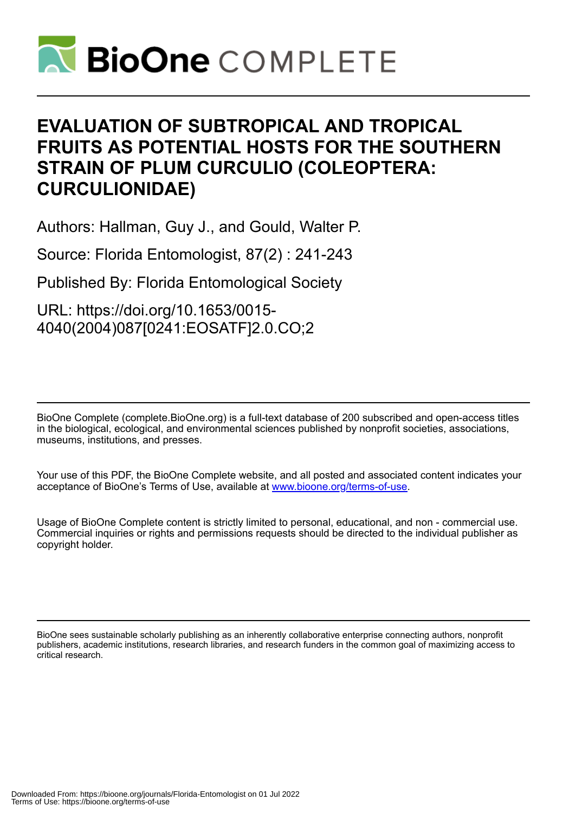

# **EVALUATION OF SUBTROPICAL AND TROPICAL FRUITS AS POTENTIAL HOSTS FOR THE SOUTHERN STRAIN OF PLUM CURCULIO (COLEOPTERA: CURCULIONIDAE)**

Authors: Hallman, Guy J., and Gould, Walter P.

Source: Florida Entomologist, 87(2) : 241-243

Published By: Florida Entomological Society

URL: https://doi.org/10.1653/0015- 4040(2004)087[0241:EOSATF]2.0.CO;2

BioOne Complete (complete.BioOne.org) is a full-text database of 200 subscribed and open-access titles in the biological, ecological, and environmental sciences published by nonprofit societies, associations, museums, institutions, and presses.

Your use of this PDF, the BioOne Complete website, and all posted and associated content indicates your acceptance of BioOne's Terms of Use, available at www.bioone.org/terms-of-use.

Usage of BioOne Complete content is strictly limited to personal, educational, and non - commercial use. Commercial inquiries or rights and permissions requests should be directed to the individual publisher as copyright holder.

BioOne sees sustainable scholarly publishing as an inherently collaborative enterprise connecting authors, nonprofit publishers, academic institutions, research libraries, and research funders in the common goal of maximizing access to critical research.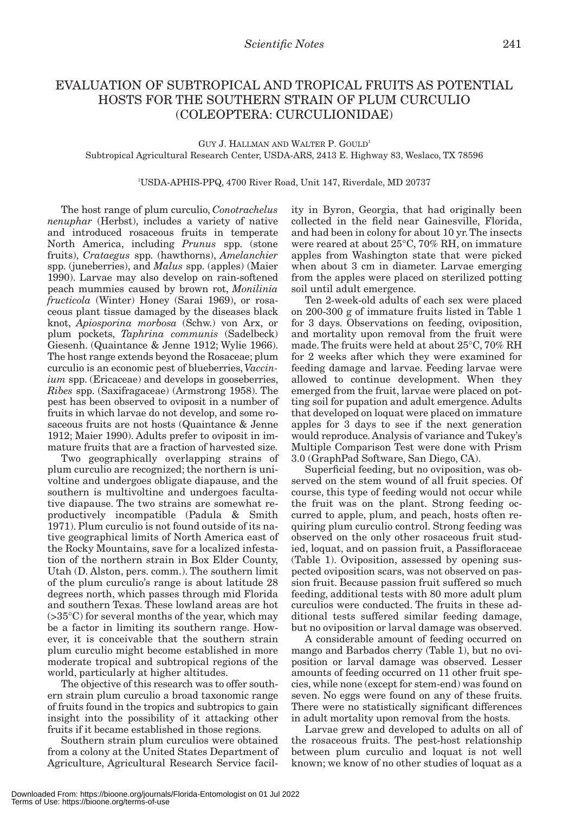## EVALUATION OF SUBTROPICAL AND TROPICAL FRUITS AS POTENTIAL HOSTS FOR THE SOUTHERN STRAIN OF PLUM CURCULIO (COLEOPTERA: CURCULIONIDAE)

### GUY J. HALLMAN AND WALTER P. GOULD1 Subtropical Agricultural Research Center, USDA-ARS, 2413 E. Highway 83, Weslaco, TX 78596

#### 1 USDA-APHIS-PPQ, 4700 River Road, Unit 147, Riverdale, MD 20737

The host range of plum curculio, *Conotrachelus nenuphar* (Herbst), includes a variety of native and introduced rosaceous fruits in temperate North America, including *Prunus* spp. (stone fruits), *Crataegus* spp. (hawthorns), *Amelanchier* spp. (juneberries), and *Malus* spp. (apples) (Maier 1990). Larvae may also develop on rain-softened peach mummies caused by brown rot, *Monilinia fructicola* (Winter) Honey (Sarai 1969), or rosaceous plant tissue damaged by the diseases black knot, *Apiosporina morbosa* (Schw.) von Arx, or plum pockets, *Taphrina communis* (Sadelbeck) Giesenh. (Quaintance & Jenne 1912; Wylie 1966). The host range extends beyond the Rosaceae; plum curculio is an economic pest of blueberries, *Vaccinium* spp. (Ericaceae) and develops in gooseberries, *Ribes* spp. (Saxifragaceae) (Armstrong 1958). The pest has been observed to oviposit in a number of fruits in which larvae do not develop, and some rosaceous fruits are not hosts (Quaintance & Jenne 1912; Maier 1990). Adults prefer to oviposit in immature fruits that are a fraction of harvested size.

Two geographically overlapping strains of plum curculio are recognized; the northern is univoltine and undergoes obligate diapause, and the southern is multivoltine and undergoes facultative diapause. The two strains are somewhat reproductively incompatible (Padula & Smith 1971). Plum curculio is not found outside of its native geographical limits of North America east of the Rocky Mountains, save for a localized infestation of the northern strain in Box Elder County, Utah (D. Alston, pers. comm.). The southern limit of the plum curculio's range is about latitude 28 degrees north, which passes through mid Florida and southern Texas. These lowland areas are hot  $(>35^{\circ}C)$  for several months of the year, which may be a factor in limiting its southern range. However, it is conceivable that the southern strain plum curculio might become established in more moderate tropical and subtropical regions of the world, particularly at higher altitudes.

The objective of this research was to offer southern strain plum curculio a broad taxonomic range of fruits found in the tropics and subtropics to gain insight into the possibility of it attacking other fruits if it became established in those regions.

Southern strain plum curculios were obtained from a colony at the United States Department of Agriculture, Agricultural Research Service facil-

ity in Byron, Georgia, that had originally been collected in the field near Gainesville, Florida, and had been in colony for about 10 yr. The insects were reared at about 25°C, 70% RH, on immature apples from Washington state that were picked when about 3 cm in diameter. Larvae emerging from the apples were placed on sterilized potting soil until adult emergence.

Ten 2-week-old adults of each sex were placed on 200-300 g of immature fruits listed in Table 1 for 3 days. Observations on feeding, oviposition, and mortality upon removal from the fruit were made. The fruits were held at about 25°C, 70% RH for 2 weeks after which they were examined for feeding damage and larvae. Feeding larvae were allowed to continue development. When they emerged from the fruit, larvae were placed on potting soil for pupation and adult emergence. Adults that developed on loquat were placed on immature apples for 3 days to see if the next generation would reproduce. Analysis of variance and Tukey's Multiple Comparison Test were done with Prism 3.0 (GraphPad Software, San Diego, CA).

Superficial feeding, but no oviposition, was observed on the stem wound of all fruit species. Of course, this type of feeding would not occur while the fruit was on the plant. Strong feeding occurred to apple, plum, and peach, hosts often requiring plum curculio control. Strong feeding was observed on the only other rosaceous fruit studied, loquat, and on passion fruit, a Passifloraceae (Table 1). Oviposition, assessed by opening suspected oviposition scars, was not observed on passion fruit. Because passion fruit suffered so much feeding, additional tests with 80 more adult plum curculios were conducted. The fruits in these additional tests suffered similar feeding damage, but no oviposition or larval damage was observed.

A considerable amount of feeding occurred on mango and Barbados cherry (Table 1), but no oviposition or larval damage was observed. Lesser amounts of feeding occurred on 11 other fruit species, while none (except for stem-end) was found on seven. No eggs were found on any of these fruits. There were no statistically significant differences in adult mortality upon removal from the hosts.

Larvae grew and developed to adults on all of the rosaceous fruits. The pest-host relationship between plum curculio and loquat is not well known; we know of no other studies of loquat as a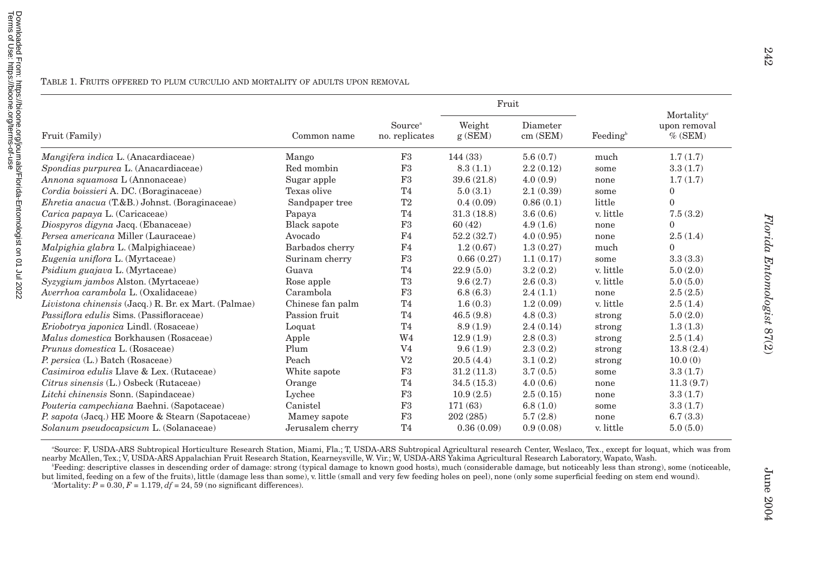|                                                      | Common name      | Source <sup>a</sup><br>no. replicates | Fruit            |                      |                    |                                                      |
|------------------------------------------------------|------------------|---------------------------------------|------------------|----------------------|--------------------|------------------------------------------------------|
| Fruit (Family)                                       |                  |                                       | Weight<br>g(SEM) | Diameter<br>cm (SEM) | $\text{Feeding}^b$ | Mortality <sup>c</sup><br>upon removal<br>$\%$ (SEM) |
| Mangifera indica L. (Anacardiaceae)                  | Mango            | F <sub>3</sub>                        | 144(33)          | 5.6(0.7)             | much               | 1.7(1.7)                                             |
| Spondias purpurea L. (Anacardiaceae)                 | Red mombin       | F3                                    | 8.3(1.1)         | 2.2(0.12)            | some               | 3.3(1.7)                                             |
| Annona squamosa L (Annonaceae)                       | Sugar apple      | F3                                    | 39.6(21.8)       | 4.0(0.9)             | none               | 1.7(1.7)                                             |
| Cordia boissieri A. DC. (Boraginaceae)               | Texas olive      | T <sub>4</sub>                        | 5.0(3.1)         | 2.1(0.39)            | some               | $\mathbf{0}$                                         |
| <i>Ehretia anacua</i> (T.&B.) Johnst. (Boraginaceae) | Sandpaper tree   | T2                                    | 0.4(0.09)        | 0.86(0.1)            | little             | $\theta$                                             |
| Carica papaya L. (Caricaceae)                        | Papaya           | T <sub>4</sub>                        | 31.3(18.8)       | 3.6(0.6)             | v. little          | 7.5(3.2)                                             |
| Diospyros digyna Jacq. (Ebanaceae)                   | Black sapote     | F3                                    | 60(42)           | 4.9(1.6)             | none               | $\theta$                                             |
| Persea americana Miller (Lauraceae)                  | Avocado          | F4                                    | 52.2(32.7)       | 4.0(0.95)            | none               | 2.5(1.4)                                             |
| Malpighia glabra L. (Malpighiaceae)                  | Barbados cherry  | F4                                    | 1.2(0.67)        | 1.3(0.27)            | much               | $\Omega$                                             |
| Eugenia uniflora L. (Myrtaceae)                      | Surinam cherry   | F3                                    | 0.66(0.27)       | 1.1(0.17)            | some               | 3.3(3.3)                                             |
| Psidium guajava L. (Myrtaceae)                       | Guava            | T <sub>4</sub>                        | 22.9(5.0)        | 3.2(0.2)             | v. little          | 5.0(2.0)                                             |
| Syzygium jambos Alston. (Myrtaceae)                  | Rose apple       | T3                                    | 9.6(2.7)         | 2.6(0.3)             | v. little          | 5.0(5.0)                                             |
| Averrhoa carambola L. (Oxalidaceae)                  | Carambola        | F3                                    | 6.8(6.3)         | 2.4(1.1)             | none               | 2.5(2.5)                                             |
| Livistona chinensis (Jacq.) R. Br. ex Mart. (Palmae) | Chinese fan palm | T <sub>4</sub>                        | 1.6(0.3)         | 1.2(0.09)            | v. little          | 2.5(1.4)                                             |
| Passiflora edulis Sims. (Passifloraceae)             | Passion fruit    | T <sub>4</sub>                        | 46.5(9.8)        | 4.8(0.3)             | strong             | 5.0(2.0)                                             |
| Eriobotrya japonica Lindl. (Rosaceae)                | Loquat           | T <sub>4</sub>                        | 8.9(1.9)         | 2.4(0.14)            | strong             | 1.3(1.3)                                             |
| Malus domestica Borkhausen (Rosaceae)                | Apple            | W <sub>4</sub>                        | 12.9(1.9)        | 2.8(0.3)             | strong             | 2.5(1.4)                                             |
| Prunus domestica L. (Rosaceae)                       | Plum             | V <sub>4</sub>                        | 9.6(1.9)         | 2.3(0.2)             | strong             | 13.8(2.4)                                            |
| P. persica (L.) Batch (Rosaceae)                     | Peach            | V <sub>2</sub>                        | 20.5(4.4)        | 3.1(0.2)             | strong             | 10.0(0)                                              |
| Casimiroa edulis Llave & Lex. (Rutaceae)             | White sapote     | F3                                    | 31.2(11.3)       | 3.7(0.5)             | some               | 3.3(1.7)                                             |
| Citrus sinensis (L.) Osbeck (Rutaceae)               | Orange           | T <sub>4</sub>                        | 34.5(15.3)       | 4.0(0.6)             | none               | 11.3(9.7)                                            |
| Litchi chinensis Sonn. (Sapindaceae)                 | Lychee           | F <sub>3</sub>                        | 10.9(2.5)        | 2.5(0.15)            | none               | 3.3(1.7)                                             |
| Pouteria campechiana Baehni. (Sapotaceae)            | Canistel         | F3                                    | 171(63)          | 6.8(1.0)             | some               | 3.3(1.7)                                             |
| P. sapota (Jacq.) HE Moore & Stearn (Sapotaceae)     | Mamey sapote     | F3                                    | 202(285)         | 5.7(2.8)             | none               | 6.7(3.3)                                             |
| Solanum pseudocapsicum L. (Solanaceae)               | Jerusalem cherry | T <sub>4</sub>                        | 0.36(0.09)       | 0.9(0.08)            | v. little          | 5.0(5.0)                                             |

TABLE 1. FRUITS OFFERED TO PLUM CURCULIO AND MORTALITY OF ADULTS UPON REMOVAL

<sup>a</sup>Source: F, USDA-ARS Subtropical Horticulture Research Station, Miami, Fla.; T, USDA-ARS Subtropical Agricultural research Center, Weslaco, Tex., except for loquat, which was from nearby McAllen, Tex.; V, USDA-ARS Appalachian Fruit Research Station, Kearneysville, W. Vir.; W, USDA-ARS Yakima Agricultural Research Laboratory, Wapato, Wash.

*b* Feeding: descriptive classes in descending order of damage: strong (typical damage to known good hosts), much (considerable damage, but noticeably less than strong), some (noticeable, but limited, feeding on a few of the fruits), little (damage less than some), v. little (small and very few feeding holes on peel), none (only some superficial feeding on stem end wound).  $c^{\text{c}}$ Mortality:  $P = 0.30, F = 1.179, df = 24, 59$  (no significant differences).

**June 2004**